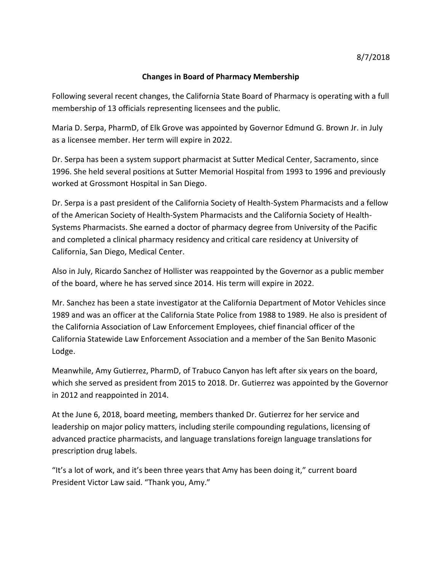## **Changes in Board of Pharmacy Membership**

Following several recent changes, the California State Board of Pharmacy is operating with a full membership of 13 officials representing licensees and the public.

Maria D. Serpa, PharmD, of Elk Grove was appointed by Governor Edmund G. Brown Jr. in July as a licensee member. Her term will expire in 2022.

Dr. Serpa has been a system support pharmacist at Sutter Medical Center, Sacramento, since 1996. She held several positions at Sutter Memorial Hospital from 1993 to 1996 and previously worked at Grossmont Hospital in San Diego.

Dr. Serpa is a past president of the California Society of Health-System Pharmacists and a fellow of the American Society of Health-System Pharmacists and the California Society of Health-Systems Pharmacists. She earned a doctor of pharmacy degree from University of the Pacific and completed a clinical pharmacy residency and critical care residency at University of California, San Diego, Medical Center.

Also in July, Ricardo Sanchez of Hollister was reappointed by the Governor as a public member of the board, where he has served since 2014. His term will expire in 2022.

Mr. Sanchez has been a state investigator at the California Department of Motor Vehicles since 1989 and was an officer at the California State Police from 1988 to 1989. He also is president of the California Association of Law Enforcement Employees, chief financial officer of the California Statewide Law Enforcement Association and a member of the San Benito Masonic Lodge.

Meanwhile, Amy Gutierrez, PharmD, of Trabuco Canyon has left after six years on the board, which she served as president from 2015 to 2018. Dr. Gutierrez was appointed by the Governor in 2012 and reappointed in 2014.

At the June 6, 2018, board meeting, members thanked Dr. Gutierrez for her service and leadership on major policy matters, including sterile compounding regulations, licensing of advanced practice pharmacists, and language translations foreign language translations for prescription drug labels.

"It's a lot of work, and it's been three years that Amy has been doing it," current board President Victor Law said. "Thank you, Amy."